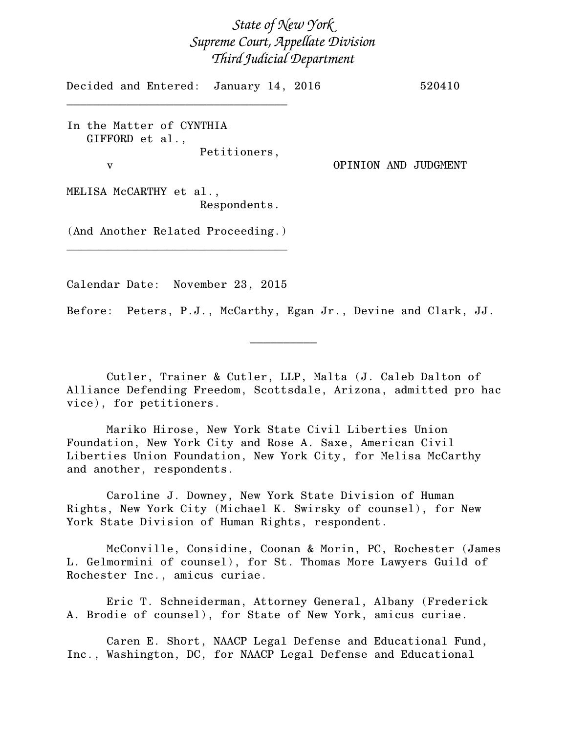*State of New York Supreme Court, Appellate Division Third Judicial Department*

Decided and Entered: January 14, 2016 520410

In the Matter of CYNTHIA GIFFORD et al., Petitioners,

\_\_\_\_\_\_\_\_\_\_\_\_\_\_\_\_\_\_\_\_\_\_\_\_\_\_\_\_\_\_\_\_\_

v OPINION AND JUDGMENT

MELISA McCARTHY et al., Respondents.

(And Another Related Proceeding.) \_\_\_\_\_\_\_\_\_\_\_\_\_\_\_\_\_\_\_\_\_\_\_\_\_\_\_\_\_\_\_\_\_

Calendar Date: November 23, 2015

Before: Peters, P.J., McCarthy, Egan Jr., Devine and Clark, JJ.

 $\frac{1}{2}$ 

Cutler, Trainer & Cutler, LLP, Malta (J. Caleb Dalton of Alliance Defending Freedom, Scottsdale, Arizona, admitted pro hac vice), for petitioners.

Mariko Hirose, New York State Civil Liberties Union Foundation, New York City and Rose A. Saxe, American Civil Liberties Union Foundation, New York City, for Melisa McCarthy and another, respondents.

Caroline J. Downey, New York State Division of Human Rights, New York City (Michael K. Swirsky of counsel), for New York State Division of Human Rights, respondent.

McConville, Considine, Coonan & Morin, PC, Rochester (James L. Gelmormini of counsel), for St. Thomas More Lawyers Guild of Rochester Inc., amicus curiae.

Eric T. Schneiderman, Attorney General, Albany (Frederick A. Brodie of counsel), for State of New York, amicus curiae.

Caren E. Short, NAACP Legal Defense and Educational Fund, Inc., Washington, DC, for NAACP Legal Defense and Educational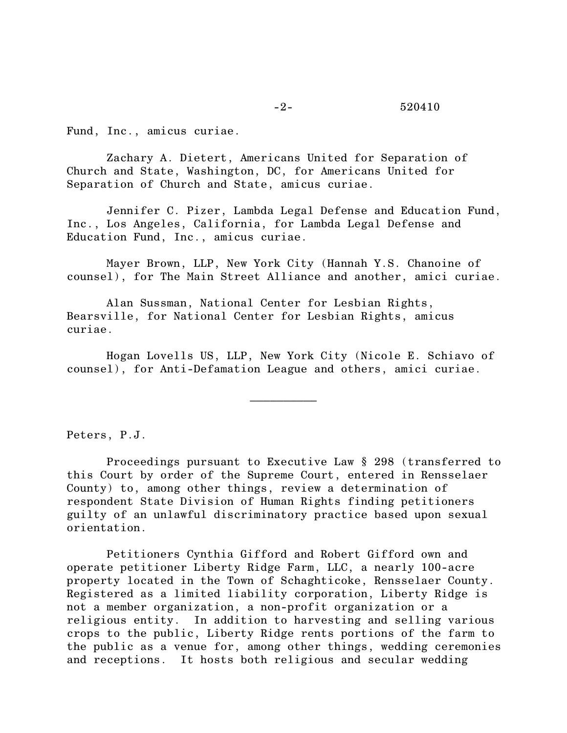Fund, Inc., amicus curiae.

Zachary A. Dietert, Americans United for Separation of Church and State, Washington, DC, for Americans United for Separation of Church and State, amicus curiae.

Jennifer C. Pizer, Lambda Legal Defense and Education Fund, Inc., Los Angeles, California, for Lambda Legal Defense and Education Fund, Inc., amicus curiae.

Mayer Brown, LLP, New York City (Hannah Y.S. Chanoine of counsel), for The Main Street Alliance and another, amici curiae.

Alan Sussman, National Center for Lesbian Rights, Bearsville, for National Center for Lesbian Rights, amicus curiae.

Hogan Lovells US, LLP, New York City (Nicole E. Schiavo of counsel), for Anti-Defamation League and others, amici curiae.

 $\frac{1}{2}$ 

Peters, P.J.

Proceedings pursuant to Executive Law § 298 (transferred to this Court by order of the Supreme Court, entered in Rensselaer County) to, among other things, review a determination of respondent State Division of Human Rights finding petitioners guilty of an unlawful discriminatory practice based upon sexual orientation.

Petitioners Cynthia Gifford and Robert Gifford own and operate petitioner Liberty Ridge Farm, LLC, a nearly 100-acre property located in the Town of Schaghticoke, Rensselaer County. Registered as a limited liability corporation, Liberty Ridge is not a member organization, a non-profit organization or a religious entity. In addition to harvesting and selling various crops to the public, Liberty Ridge rents portions of the farm to the public as a venue for, among other things, wedding ceremonies and receptions. It hosts both religious and secular wedding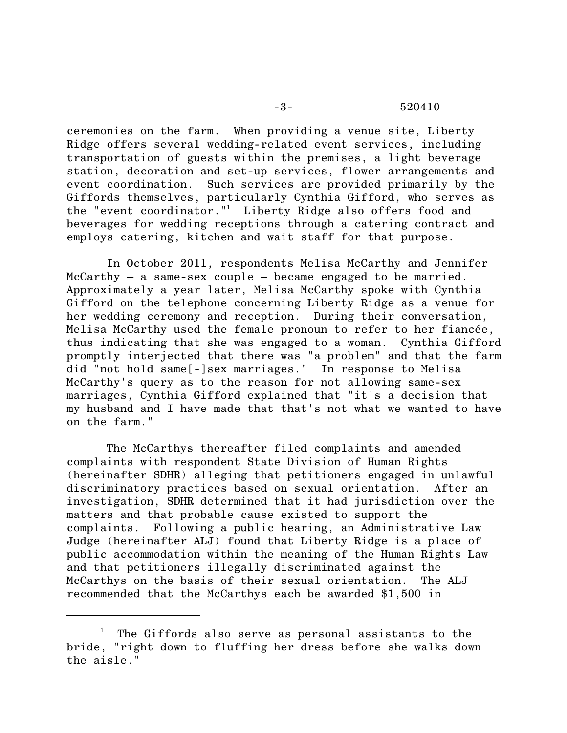ceremonies on the farm. When providing a venue site, Liberty Ridge offers several wedding-related event services, including transportation of guests within the premises, a light beverage station, decoration and set-up services, flower arrangements and event coordination. Such services are provided primarily by the Giffords themselves, particularly Cynthia Gifford, who serves as the "event coordinator."<sup>1</sup> Liberty Ridge also offers food and beverages for wedding receptions through a catering contract and employs catering, kitchen and wait staff for that purpose.

In October 2011, respondents Melisa McCarthy and Jennifer  $McCarthy - a same-sex couple - became engaged to be married.$ Approximately a year later, Melisa McCarthy spoke with Cynthia Gifford on the telephone concerning Liberty Ridge as a venue for her wedding ceremony and reception. During their conversation, Melisa McCarthy used the female pronoun to refer to her fiancée, thus indicating that she was engaged to a woman. Cynthia Gifford promptly interjected that there was "a problem" and that the farm did "not hold same[-]sex marriages." In response to Melisa McCarthy's query as to the reason for not allowing same-sex marriages, Cynthia Gifford explained that "it's a decision that my husband and I have made that that's not what we wanted to have on the farm."

The McCarthys thereafter filed complaints and amended complaints with respondent State Division of Human Rights (hereinafter SDHR) alleging that petitioners engaged in unlawful discriminatory practices based on sexual orientation. After an investigation, SDHR determined that it had jurisdiction over the matters and that probable cause existed to support the complaints. Following a public hearing, an Administrative Law Judge (hereinafter ALJ) found that Liberty Ridge is a place of public accommodation within the meaning of the Human Rights Law and that petitioners illegally discriminated against the McCarthys on the basis of their sexual orientation. The ALJ recommended that the McCarthys each be awarded \$1,500 in

 $1$  The Giffords also serve as personal assistants to the bride, "right down to fluffing her dress before she walks down the aisle."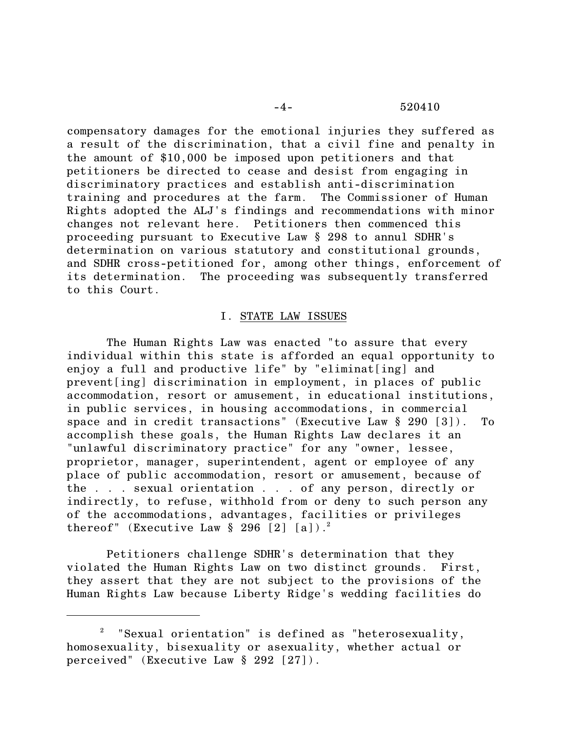# -4- 520410

compensatory damages for the emotional injuries they suffered as a result of the discrimination, that a civil fine and penalty in the amount of \$10,000 be imposed upon petitioners and that petitioners be directed to cease and desist from engaging in discriminatory practices and establish anti-discrimination training and procedures at the farm. The Commissioner of Human Rights adopted the ALJ's findings and recommendations with minor changes not relevant here. Petitioners then commenced this proceeding pursuant to Executive Law § 298 to annul SDHR's determination on various statutory and constitutional grounds, and SDHR cross-petitioned for, among other things, enforcement of its determination. The proceeding was subsequently transferred to this Court.

# I. STATE LAW ISSUES

The Human Rights Law was enacted "to assure that every individual within this state is afforded an equal opportunity to enjoy a full and productive life" by "eliminat[ing] and prevent[ing] discrimination in employment, in places of public accommodation, resort or amusement, in educational institutions, in public services, in housing accommodations, in commercial space and in credit transactions" (Executive Law § 290 [3]). To accomplish these goals, the Human Rights Law declares it an "unlawful discriminatory practice" for any "owner, lessee, proprietor, manager, superintendent, agent or employee of any place of public accommodation, resort or amusement, because of the . . . sexual orientation . . . of any person, directly or indirectly, to refuse, withhold from or deny to such person any of the accommodations, advantages, facilities or privileges thereof" (Executive Law  $\S 296 [2] [a])$ .

Petitioners challenge SDHR's determination that they violated the Human Rights Law on two distinct grounds. First, they assert that they are not subject to the provisions of the Human Rights Law because Liberty Ridge's wedding facilities do

<sup>2</sup> "Sexual orientation" is defined as "heterosexuality, homosexuality, bisexuality or asexuality, whether actual or perceived" (Executive Law § 292 [27]).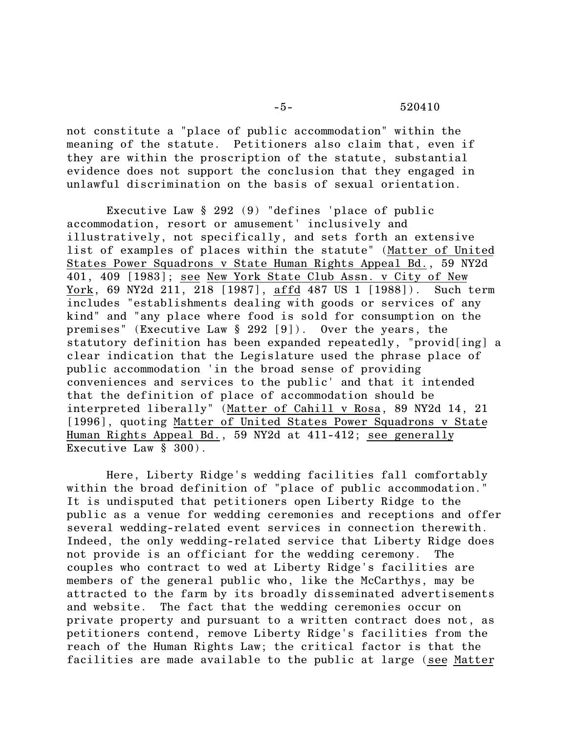-5- 520410

not constitute a "place of public accommodation" within the meaning of the statute. Petitioners also claim that, even if they are within the proscription of the statute, substantial evidence does not support the conclusion that they engaged in unlawful discrimination on the basis of sexual orientation.

Executive Law § 292 (9) "defines 'place of public accommodation, resort or amusement' inclusively and illustratively, not specifically, and sets forth an extensive list of examples of places within the statute" (Matter of United States Power Squadrons v State Human Rights Appeal Bd., 59 NY2d 401, 409 [1983]; see New York State Club Assn. v City of New York, 69 NY2d 211, 218 [1987], affd 487 US 1 [1988]). Such term includes "establishments dealing with goods or services of any kind" and "any place where food is sold for consumption on the premises" (Executive Law § 292 [9]). Over the years, the statutory definition has been expanded repeatedly, "provid[ing] a clear indication that the Legislature used the phrase place of public accommodation 'in the broad sense of providing conveniences and services to the public' and that it intended that the definition of place of accommodation should be interpreted liberally" (Matter of Cahill v Rosa, 89 NY2d 14, 21 [1996], quoting Matter of United States Power Squadrons v State Human Rights Appeal Bd., 59 NY2d at 411-412; see generally Executive Law § 300).

Here, Liberty Ridge's wedding facilities fall comfortably within the broad definition of "place of public accommodation." It is undisputed that petitioners open Liberty Ridge to the public as a venue for wedding ceremonies and receptions and offer several wedding-related event services in connection therewith. Indeed, the only wedding-related service that Liberty Ridge does not provide is an officiant for the wedding ceremony. The couples who contract to wed at Liberty Ridge's facilities are members of the general public who, like the McCarthys, may be attracted to the farm by its broadly disseminated advertisements and website. The fact that the wedding ceremonies occur on private property and pursuant to a written contract does not, as petitioners contend, remove Liberty Ridge's facilities from the reach of the Human Rights Law; the critical factor is that the facilities are made available to the public at large (see Matter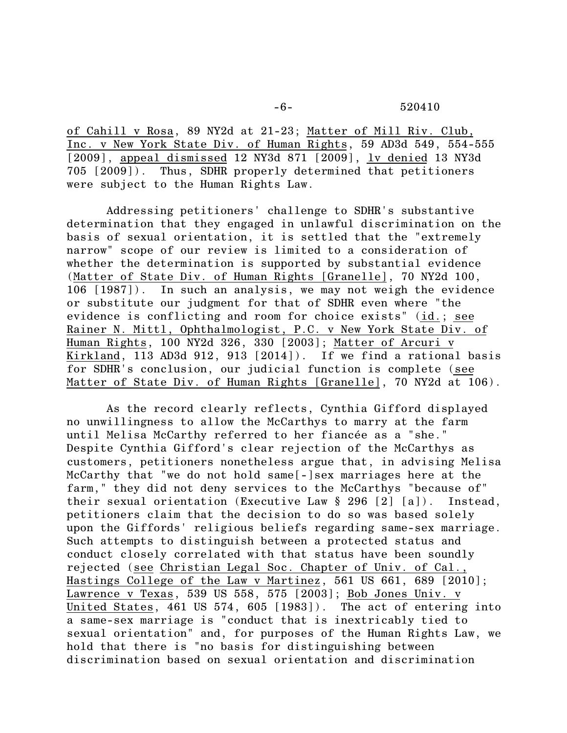of Cahill v Rosa, 89 NY2d at 21-23; Matter of Mill Riv. Club, Inc. v New York State Div. of Human Rights, 59 AD3d 549, 554-555 [2009], appeal dismissed 12 NY3d 871 [2009], lv denied 13 NY3d 705 [2009]). Thus, SDHR properly determined that petitioners were subject to the Human Rights Law.

Addressing petitioners' challenge to SDHR's substantive determination that they engaged in unlawful discrimination on the basis of sexual orientation, it is settled that the "extremely narrow" scope of our review is limited to a consideration of whether the determination is supported by substantial evidence (Matter of State Div. of Human Rights [Granelle], 70 NY2d 100, 106 [1987]). In such an analysis, we may not weigh the evidence or substitute our judgment for that of SDHR even where "the evidence is conflicting and room for choice exists" (id.; see Rainer N. Mittl, Ophthalmologist, P.C. v New York State Div. of Human Rights, 100 NY2d 326, 330 [2003]; Matter of Arcuri v Kirkland, 113 AD3d 912, 913 [2014]). If we find a rational basis for SDHR's conclusion, our judicial function is complete (see Matter of State Div. of Human Rights [Granelle], 70 NY2d at 106).

As the record clearly reflects, Cynthia Gifford displayed no unwillingness to allow the McCarthys to marry at the farm until Melisa McCarthy referred to her fiancée as a "she." Despite Cynthia Gifford's clear rejection of the McCarthys as customers, petitioners nonetheless argue that, in advising Melisa McCarthy that "we do not hold same[-]sex marriages here at the farm," they did not deny services to the McCarthys "because of" their sexual orientation (Executive Law § 296 [2] [a]). Instead, petitioners claim that the decision to do so was based solely upon the Giffords' religious beliefs regarding same-sex marriage. Such attempts to distinguish between a protected status and conduct closely correlated with that status have been soundly rejected (see Christian Legal Soc. Chapter of Univ. of Cal., Hastings College of the Law v Martinez, 561 US 661, 689 [2010]; Lawrence v Texas, 539 US 558, 575 [2003]; Bob Jones Univ. v United States, 461 US 574, 605 [1983]). The act of entering into a same-sex marriage is "conduct that is inextricably tied to sexual orientation" and, for purposes of the Human Rights Law, we hold that there is "no basis for distinguishing between discrimination based on sexual orientation and discrimination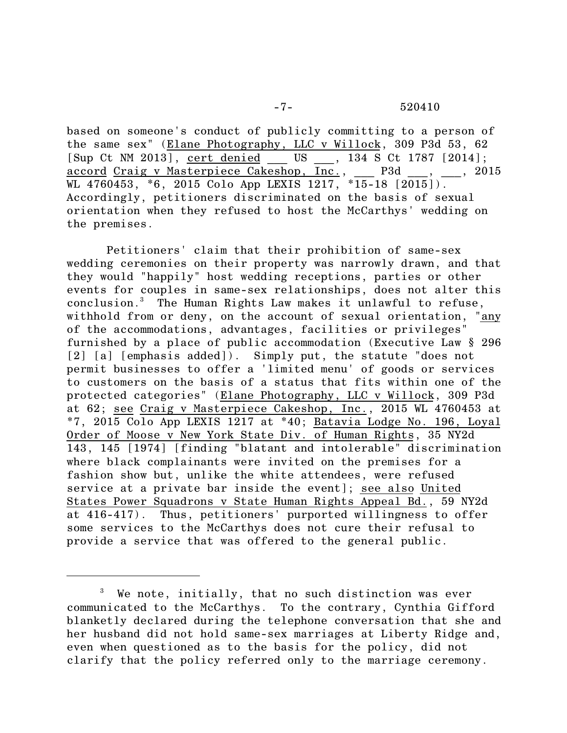based on someone's conduct of publicly committing to a person of the same sex" (Elane Photography, LLC v Willock, 309 P3d 53, 62 [Sup Ct NM 2013], <u>cert denied</u> \_\_\_ US \_\_\_, 134 S Ct 1787 [2014];<br><u>accord Craig v Masterpiece Cakeshop, Inc.,</u> \_\_\_ P3d \_\_ , , 2015 accord Craig v Masterpiece Cakeshop,  $\overline{Inc}$ , \_\_\_ P3d \_ WL 4760453, \*6, 2015 Colo App LEXIS 1217, \*15-18  $\lfloor 2015 \rfloor$ . Accordingly, petitioners discriminated on the basis of sexual orientation when they refused to host the McCarthys' wedding on the premises.

Petitioners' claim that their prohibition of same-sex wedding ceremonies on their property was narrowly drawn, and that they would "happily" host wedding receptions, parties or other events for couples in same-sex relationships, does not alter this conclusion.<sup>3</sup> The Human Rights Law makes it unlawful to refuse, withhold from or deny, on the account of sexual orientation, "any of the accommodations, advantages, facilities or privileges" furnished by a place of public accommodation (Executive Law § 296 [2] [a] [emphasis added]). Simply put, the statute "does not permit businesses to offer a 'limited menu' of goods or services to customers on the basis of a status that fits within one of the protected categories" (Elane Photography, LLC v Willock, 309 P3d at 62; see Craig v Masterpiece Cakeshop, Inc., 2015 WL 4760453 at  $*7$ , 2015 Colo App LEXIS 1217 at  $*40$ ; Batavia Lodge No. 196, Loyal Order of Moose v New York State Div. of Human Rights, 35 NY2d 143, 145 [1974] [finding "blatant and intolerable" discrimination where black complainants were invited on the premises for a fashion show but, unlike the white attendees, were refused service at a private bar inside the event]; see also United States Power Squadrons v State Human Rights Appeal Bd., 59 NY2d at 416-417). Thus, petitioners' purported willingness to offer some services to the McCarthys does not cure their refusal to provide a service that was offered to the general public.

<sup>&</sup>lt;sup>3</sup> We note, initially, that no such distinction was ever communicated to the McCarthys. To the contrary, Cynthia Gifford blanketly declared during the telephone conversation that she and her husband did not hold same-sex marriages at Liberty Ridge and, even when questioned as to the basis for the policy, did not clarify that the policy referred only to the marriage ceremony.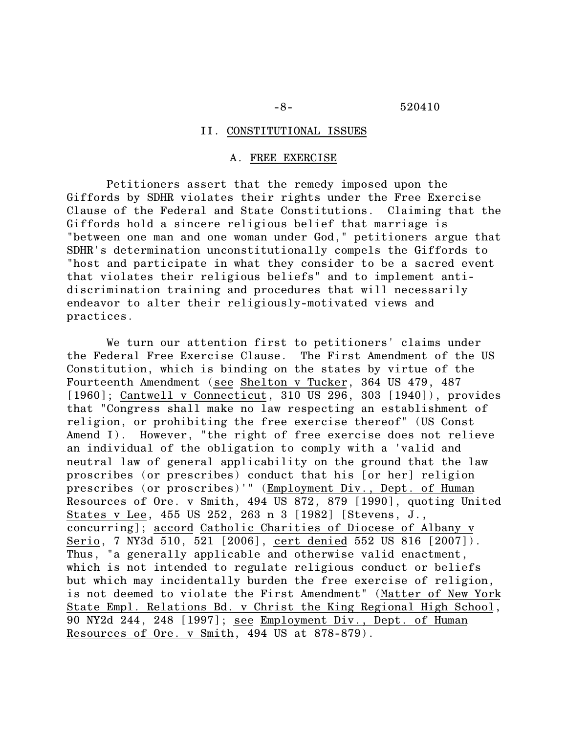#### II. CONSTITUTIONAL ISSUES

#### A. FREE EXERCISE

Petitioners assert that the remedy imposed upon the Giffords by SDHR violates their rights under the Free Exercise Clause of the Federal and State Constitutions. Claiming that the Giffords hold a sincere religious belief that marriage is "between one man and one woman under God," petitioners argue that SDHR's determination unconstitutionally compels the Giffords to "host and participate in what they consider to be a sacred event that violates their religious beliefs" and to implement antidiscrimination training and procedures that will necessarily endeavor to alter their religiously-motivated views and practices.

We turn our attention first to petitioners' claims under the Federal Free Exercise Clause. The First Amendment of the US Constitution, which is binding on the states by virtue of the Fourteenth Amendment (see Shelton v Tucker, 364 US 479, 487 [1960]; Cantwell v Connecticut, 310 US 296, 303 [1940]), provides that "Congress shall make no law respecting an establishment of religion, or prohibiting the free exercise thereof" (US Const Amend I). However, "the right of free exercise does not relieve an individual of the obligation to comply with a 'valid and neutral law of general applicability on the ground that the law proscribes (or prescribes) conduct that his [or her] religion prescribes (or proscribes)'" (Employment Div., Dept. of Human Resources of Ore. v Smith, 494 US 872, 879 [1990], quoting United States v Lee, 455 US 252, 263 n 3 [1982] [Stevens, J., concurring]; accord Catholic Charities of Diocese of Albany v Serio, 7 NY3d 510, 521 [2006], cert denied 552 US 816 [2007]). Thus, "a generally applicable and otherwise valid enactment, which is not intended to regulate religious conduct or beliefs but which may incidentally burden the free exercise of religion, is not deemed to violate the First Amendment" (Matter of New York State Empl. Relations Bd. v Christ the King Regional High School, 90 NY2d 244, 248 [1997]; see Employment Div., Dept. of Human Resources of Ore. v Smith, 494 US at 878-879).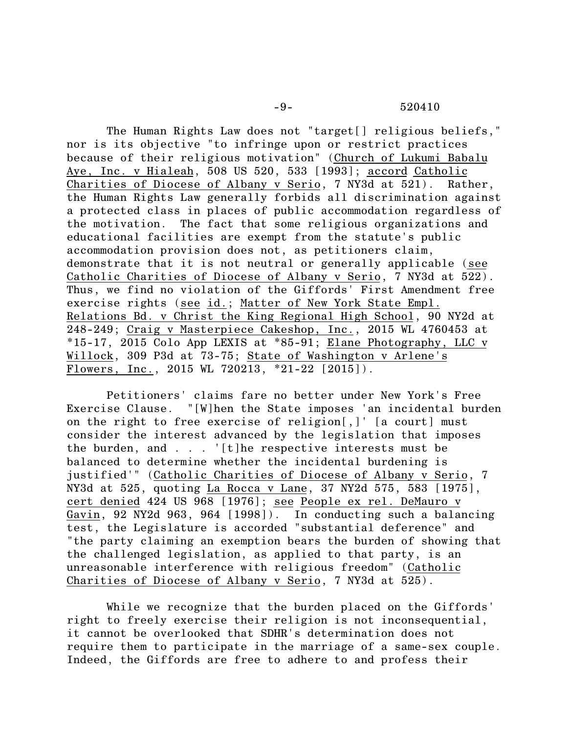-9- 520410

The Human Rights Law does not "target[] religious beliefs," nor is its objective "to infringe upon or restrict practices because of their religious motivation" (Church of Lukumi Babalu Aye, Inc. v Hialeah, 508 US 520, 533 [1993]; accord Catholic Charities of Diocese of Albany v Serio, 7 NY3d at 521). Rather, the Human Rights Law generally forbids all discrimination against a protected class in places of public accommodation regardless of the motivation. The fact that some religious organizations and educational facilities are exempt from the statute's public accommodation provision does not, as petitioners claim, demonstrate that it is not neutral or generally applicable (see Catholic Charities of Diocese of Albany v Serio, 7 NY3d at 522). Thus, we find no violation of the Giffords' First Amendment free exercise rights (see id.; Matter of New York State Empl. Relations Bd. v Christ the King Regional High School, 90 NY2d at 248-249; Craig v Masterpiece Cakeshop, Inc., 2015 WL 4760453 at \*15-17, 2015 Colo App LEXIS at \*85-91; Elane Photography, LLC v Willock, 309 P3d at 73-75; State of Washington v Arlene's Flowers, Inc., 2015 WL 720213, \*21-22 [2015]).

Petitioners' claims fare no better under New York's Free Exercise Clause. "[W]hen the State imposes 'an incidental burden on the right to free exercise of religion[,]' [a court] must consider the interest advanced by the legislation that imposes the burden, and . . . '[t]he respective interests must be balanced to determine whether the incidental burdening is justified'" (Catholic Charities of Diocese of Albany v Serio, 7 NY3d at 525, quoting La Rocca v Lane, 37 NY2d 575, 583 [1975], cert denied 424 US 968 [1976]; see People ex rel. DeMauro v Gavin, 92 NY2d 963, 964 [1998]). In conducting such a balancing test, the Legislature is accorded "substantial deference" and "the party claiming an exemption bears the burden of showing that the challenged legislation, as applied to that party, is an unreasonable interference with religious freedom" (Catholic Charities of Diocese of Albany v Serio, 7 NY3d at 525).

While we recognize that the burden placed on the Giffords' right to freely exercise their religion is not inconsequential, it cannot be overlooked that SDHR's determination does not require them to participate in the marriage of a same-sex couple. Indeed, the Giffords are free to adhere to and profess their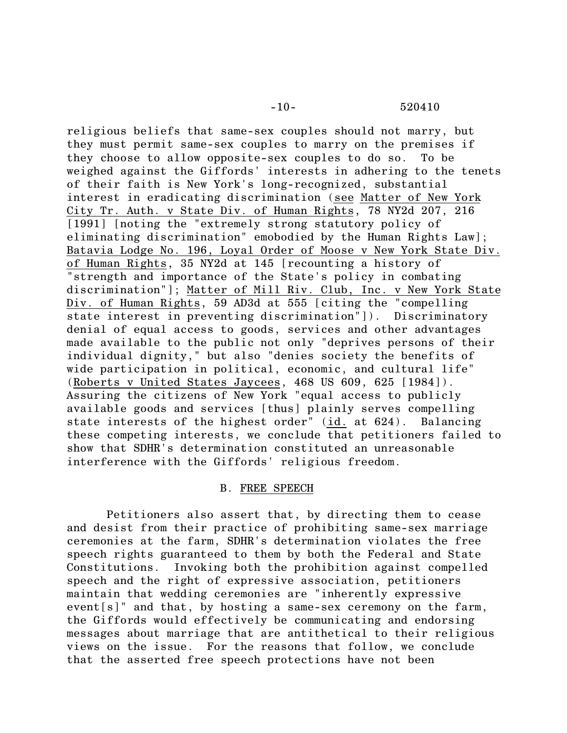religious beliefs that same-sex couples should not marry, but they must permit same-sex couples to marry on the premises if they choose to allow opposite-sex couples to do so. To be weighed against the Giffords' interests in adhering to the tenets of their faith is New York's long-recognized, substantial interest in eradicating discrimination (see Matter of New York City Tr. Auth. v State Div. of Human Rights, 78 NY2d 207, 216 [1991] [noting the "extremely strong statutory policy of eliminating discrimination" emobodied by the Human Rights Law]; Batavia Lodge No. 196, Loyal Order of Moose v New York State Div. of Human Rights, 35 NY2d at 145 [recounting a history of "strength and importance of the State's policy in combating discrimination"]; Matter of Mill Riv. Club, Inc. v New York State Div. of Human Rights, 59 AD3d at 555 [citing the "compelling state interest in preventing discrimination"]). Discriminatory denial of equal access to goods, services and other advantages made available to the public not only "deprives persons of their individual dignity," but also "denies society the benefits of wide participation in political, economic, and cultural life" (Roberts v United States Jaycees, 468 US 609, 625 [1984]). Assuring the citizens of New York "equal access to publicly available goods and services [thus] plainly serves compelling state interests of the highest order" (id. at 624). Balancing these competing interests, we conclude that petitioners failed to show that SDHR's determination constituted an unreasonable interference with the Giffords' religious freedom.

# B. FREE SPEECH

Petitioners also assert that, by directing them to cease and desist from their practice of prohibiting same-sex marriage ceremonies at the farm, SDHR's determination violates the free speech rights guaranteed to them by both the Federal and State Constitutions. Invoking both the prohibition against compelled speech and the right of expressive association, petitioners maintain that wedding ceremonies are "inherently expressive event[s]" and that, by hosting a same-sex ceremony on the farm, the Giffords would effectively be communicating and endorsing messages about marriage that are antithetical to their religious views on the issue. For the reasons that follow, we conclude that the asserted free speech protections have not been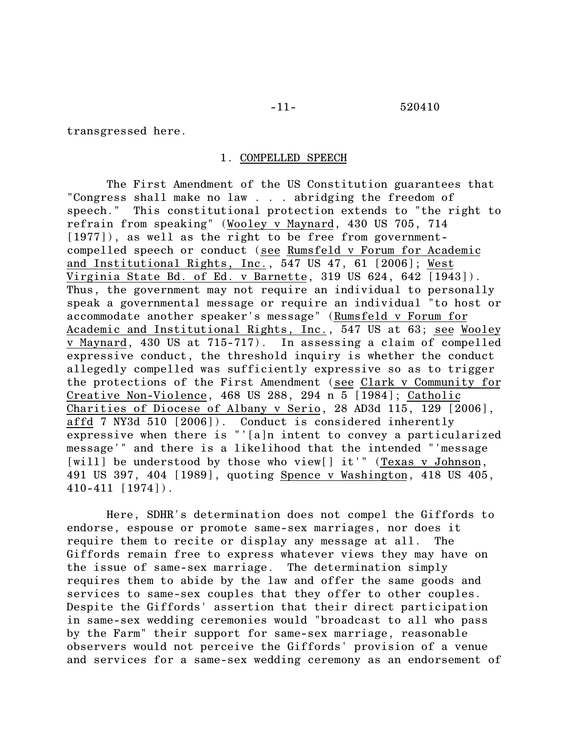transgressed here.

# 1. COMPELLED SPEECH

The First Amendment of the US Constitution guarantees that "Congress shall make no law . . . abridging the freedom of speech." This constitutional protection extends to "the right to refrain from speaking" (Wooley v Maynard, 430 US 705, 714 [1977]), as well as the right to be free from governmentcompelled speech or conduct (see Rumsfeld v Forum for Academic and Institutional Rights, Inc., 547 US 47, 61 [2006]; West Virginia State Bd. of Ed. v Barnette, 319 US 624, 642 [1943]). Thus, the government may not require an individual to personally speak a governmental message or require an individual "to host or accommodate another speaker's message" (Rumsfeld v Forum for Academic and Institutional Rights, Inc., 547 US at 63; see Wooley v Maynard, 430 US at 715-717). In assessing a claim of compelled expressive conduct, the threshold inquiry is whether the conduct allegedly compelled was sufficiently expressive so as to trigger the protections of the First Amendment (see Clark v Community for Creative Non-Violence, 468 US 288, 294 n 5 [1984]; Catholic Charities of Diocese of Albany v Serio, 28 AD3d 115, 129 [2006], affd 7 NY3d 510 [2006]). Conduct is considered inherently expressive when there is "'[a]n intent to convey a particularized message'" and there is a likelihood that the intended "'message [will] be understood by those who view[] it'" (Texas v Johnson, 491 US 397, 404 [1989], quoting Spence v Washington, 418 US 405, 410-411 [1974]).

Here, SDHR's determination does not compel the Giffords to endorse, espouse or promote same-sex marriages, nor does it require them to recite or display any message at all. The Giffords remain free to express whatever views they may have on the issue of same-sex marriage. The determination simply requires them to abide by the law and offer the same goods and services to same-sex couples that they offer to other couples. Despite the Giffords' assertion that their direct participation in same-sex wedding ceremonies would "broadcast to all who pass by the Farm" their support for same-sex marriage, reasonable observers would not perceive the Giffords' provision of a venue and services for a same-sex wedding ceremony as an endorsement of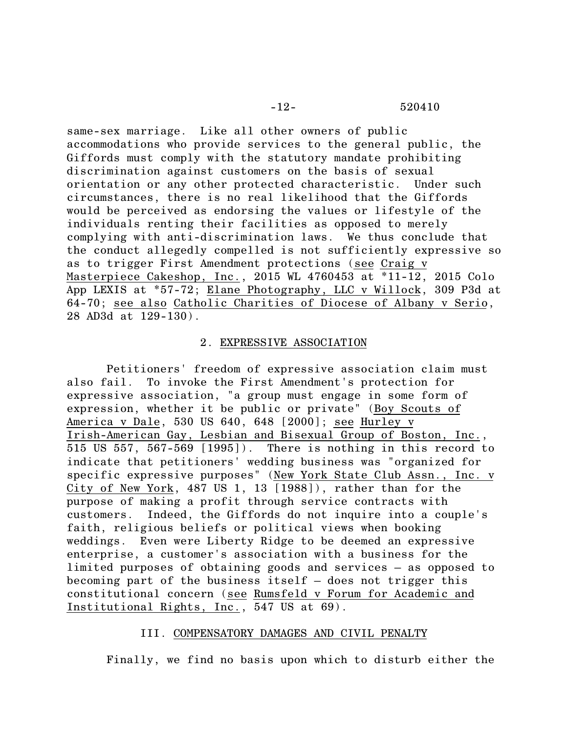same-sex marriage. Like all other owners of public accommodations who provide services to the general public, the Giffords must comply with the statutory mandate prohibiting discrimination against customers on the basis of sexual orientation or any other protected characteristic. Under such circumstances, there is no real likelihood that the Giffords would be perceived as endorsing the values or lifestyle of the individuals renting their facilities as opposed to merely complying with anti-discrimination laws. We thus conclude that the conduct allegedly compelled is not sufficiently expressive so as to trigger First Amendment protections (see Craig v Masterpiece Cakeshop, Inc., 2015 WL 4760453 at \*11-12, 2015 Colo App LEXIS at \*57-72; Elane Photography, LLC v Willock, 309 P3d at 64-70; see also Catholic Charities of Diocese of Albany v Serio, 28 AD3d at 129-130).

# 2. EXPRESSIVE ASSOCIATION

Petitioners' freedom of expressive association claim must also fail. To invoke the First Amendment's protection for expressive association, "a group must engage in some form of expression, whether it be public or private" (Boy Scouts of America v Dale, 530 US 640, 648 [2000]; see Hurley v Irish-American Gay, Lesbian and Bisexual Group of Boston, Inc., 515 US 557, 567-569 [1995]). There is nothing in this record to indicate that petitioners' wedding business was "organized for specific expressive purposes" (New York State Club Assn., Inc. v City of New York, 487 US 1, 13 [1988]), rather than for the purpose of making a profit through service contracts with customers. Indeed, the Giffords do not inquire into a couple's faith, religious beliefs or political views when booking weddings. Even were Liberty Ridge to be deemed an expressive enterprise, a customer's association with a business for the limited purposes of obtaining goods and services – as opposed to becoming part of the business itself – does not trigger this constitutional concern (see Rumsfeld v Forum for Academic and Institutional Rights, Inc., 547 US at 69).

# III. COMPENSATORY DAMAGES AND CIVIL PENALTY

Finally, we find no basis upon which to disturb either the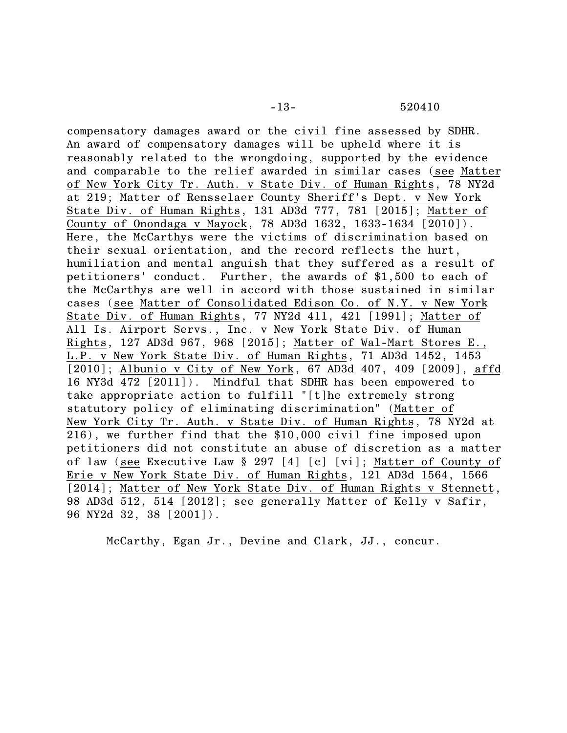compensatory damages award or the civil fine assessed by SDHR. An award of compensatory damages will be upheld where it is reasonably related to the wrongdoing, supported by the evidence and comparable to the relief awarded in similar cases (see Matter of New York City Tr. Auth. v State Div. of Human Rights, 78 NY2d at 219; Matter of Rensselaer County Sheriff's Dept. v New York State Div. of Human Rights, 131 AD3d 777, 781 [2015]; Matter of County of Onondaga v Mayock, 78 AD3d 1632, 1633-1634 [2010]). Here, the McCarthys were the victims of discrimination based on their sexual orientation, and the record reflects the hurt, humiliation and mental anguish that they suffered as a result of petitioners' conduct. Further, the awards of \$1,500 to each of the McCarthys are well in accord with those sustained in similar cases (see Matter of Consolidated Edison Co. of N.Y. v New York State Div. of Human Rights, 77 NY2d 411, 421 [1991]; Matter of All Is. Airport Servs., Inc. v New York State Div. of Human Rights, 127 AD3d 967, 968 [2015]; Matter of Wal-Mart Stores E., L.P. v New York State Div. of Human Rights, 71 AD3d 1452, 1453 [2010]; Albunio v City of New York, 67 AD3d 407, 409 [2009], affd 16 NY3d 472 [2011]). Mindful that SDHR has been empowered to take appropriate action to fulfill "[t]he extremely strong statutory policy of eliminating discrimination" (Matter of New York City Tr. Auth. v State Div. of Human Rights, 78 NY2d at 216), we further find that the \$10,000 civil fine imposed upon petitioners did not constitute an abuse of discretion as a matter of law (see Executive Law § 297 [4] [c] [vi]; Matter of County of Erie v New York State Div. of Human Rights, 121 AD3d 1564, 1566 [2014]; Matter of New York State Div. of Human Rights v Stennett, 98 AD3d 512, 514 [2012]; see generally Matter of Kelly v Safir, 96 NY2d 32, 38 [2001]).

McCarthy, Egan Jr., Devine and Clark, JJ., concur.